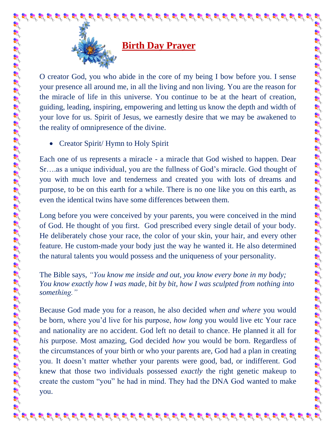

## **Birth Day Prayer**

O creator God, you who abide in the core of my being I bow before you. I sense your presence all around me, in all the living and non living. You are the reason for the miracle of life in this universe. You continue to be at the heart of creation, guiding, leading, inspiring, empowering and letting us know the depth and width of your love for us. Spirit of Jesus, we earnestly desire that we may be awakened to the reality of omnipresence of the divine.

• Creator Spirit/ Hymn to Holy Spirit

Each one of us represents a miracle - a miracle that God wished to happen. Dear Sr….as a unique individual, you are the fullness of God's miracle. God thought of you with much love and tenderness and created you with lots of dreams and purpose, to be on this earth for a while. There is no one like you on this earth, as even the identical twins have some differences between them.

Long before you were conceived by your parents, you were conceived in the mind of God. He thought of you first. God prescribed every single detail of your body. He deliberately chose your race, the color of your skin, your hair, and every other feature. He custom-made your body just the way he wanted it. He also determined the natural talents you would possess and the uniqueness of your personality.

est of the set of the set of the set of the set of the set of the set of the set of the set of the set of the set of the set of the set of the set of the set of the set of the set of the set of the set of the set of the se

The Bible says, *"You know me inside and out, you know every bone in my body; You know exactly how I was made, bit by bit, how I was sculpted from nothing into something."* 

Because God made you for a reason, he also decided *when and where* you would be born, where you'd live for his purpose, *how long* you would live etc Your race and nationality are no accident. God left no detail to chance. He planned it all for *his* purpose. Most amazing, God decided *how* you would be born. Regardless of the circumstances of your birth or who your parents are, God had a plan in creating you. It doesn't matter whether your parents were good, bad, or indifferent. God knew that those two individuals possessed *exactly* the right genetic makeup to create the custom "you" he had in mind. They had the DNA God wanted to make you.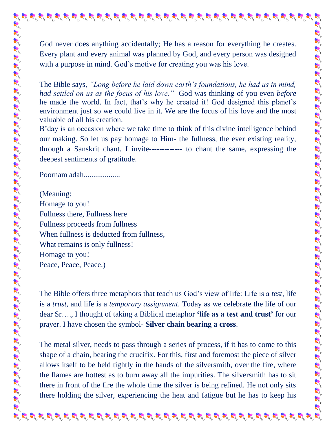God never does anything accidentally; He has a reason for everything he creates. Every plant and every animal was planned by God, and every person was designed with a purpose in mind. God's motive for creating you was his love.

The Bible says, *"Long before he laid down earth's foundations, he had us in mind, had settled on us as the focus of his love."* God was thinking of you even *before*  he made the world. In fact, that's why he created it! God designed this planet's environment just so we could live in it. We are the focus of his love and the most valuable of all his creation.

B'day is an occasion where we take time to think of this divine intelligence behind our making. So let us pay homage to Him- the fullness, the ever existing reality, through a Sanskrit chant. I invite------------- to chant the same, expressing the deepest sentiments of gratitude.

Poornam adah...................

(Meaning: Homage to you! Fullness there, Fullness here Fullness proceeds from fullness When fullness is deducted from fullness, What remains is only fullness! Homage to you! Peace, Peace, Peace.)

The Bible offers three metaphors that teach us God's view of life: Life is a *test,* life is a *trust,* and life is a *temporary assignment.* Today as we celebrate the life of our dear Sr…., I thought of taking a Biblical metaphor **'life as a test and trust'** for our prayer. I have chosen the symbol- **Silver chain bearing a cross**.

The metal silver, needs to pass through a series of process, if it has to come to this shape of a chain, bearing the crucifix. For this, first and foremost the piece of silver allows itself to be held tightly in the hands of the silversmith, over the fire, where the flames are hottest as to burn away all the impurities. The silversmith has to sit there in front of the fire the whole time the silver is being refined. He not only sits there holding the silver, experiencing the heat and fatigue but he has to keep his

 $\bm{s}$  , and the star particle in the star particle in the star particle in the star particle star particle in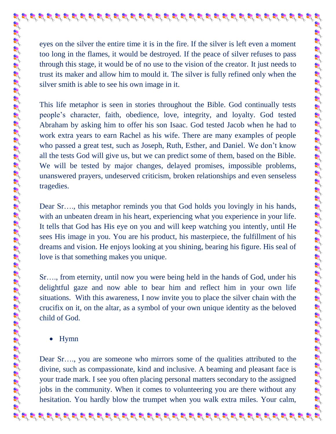eyes on the silver the entire time it is in the fire. If the silver is left even a moment too long in the flames, it would be destroyed. If the peace of silver refuses to pass through this stage, it would be of no use to the vision of the creator. It just needs to trust its maker and allow him to mould it. The silver is fully refined only when the silver smith is able to see his own image in it.

 $\mathbf{g}^{\prime}$  of  $\mathbf{g}^{\prime}$  of  $\mathbf{g}^{\prime}$  of  $\mathbf{g}^{\prime}$  of  $\mathbf{g}^{\prime}$  of  $\mathbf{g}^{\prime}$  of  $\mathbf{g}^{\prime}$  of  $\mathbf{g}^{\prime}$  of  $\mathbf{g}^{\prime}$  of  $\mathbf{g}^{\prime}$  of  $\mathbf{g}^{\prime}$  of  $\mathbf{g}^{\prime}$  of  $\mathbf{g}^{\prime}$  of  $\mathbf{g}^{\prime}$ 

This life metaphor is seen in stories throughout the Bible. God continually tests people's character, faith, obedience, love, integrity, and loyalty. God tested Abraham by asking him to offer his son Isaac. God tested Jacob when he had to work extra years to earn Rachel as his wife. There are many examples of people who passed a great test, such as Joseph, Ruth, Esther, and Daniel. We don't know all the tests God will give us, but we can predict some of them, based on the Bible. We will be tested by major changes, delayed promises, impossible problems, unanswered prayers, undeserved criticism, broken relationships and even senseless tragedies.

Dear Sr…., this metaphor reminds you that God holds you lovingly in his hands, with an unbeaten dream in his heart, experiencing what you experience in your life. It tells that God has His eye on you and will keep watching you intently, until He sees His image in you. You are his product, his masterpiece, the fulfillment of his dreams and vision. He enjoys looking at you shining, bearing his figure. His seal of love is that something makes you unique.

Sr…., from eternity, until now you were being held in the hands of God, under his delightful gaze and now able to bear him and reflect him in your own life situations. With this awareness, I now invite you to place the silver chain with the crucifix on it, on the altar, as a symbol of your own unique identity as the beloved child of God.

• Hymn

Dear Sr…., you are someone who mirrors some of the qualities attributed to the divine, such as compassionate, kind and inclusive. A beaming and pleasant face is your trade mark. I see you often placing personal matters secondary to the assigned jobs in the community. When it comes to volunteering you are there without any hesitation. You hardly blow the trumpet when you walk extra miles. Your calm,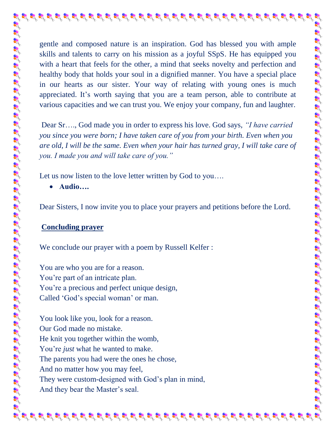gentle and composed nature is an inspiration. God has blessed you with ample skills and talents to carry on his mission as a joyful SSpS. He has equipped you with a heart that feels for the other, a mind that seeks novelty and perfection and healthy body that holds your soul in a dignified manner. You have a special place in our hearts as our sister. Your way of relating with young ones is much appreciated. It's worth saying that you are a team person, able to contribute at various capacities and we can trust you. We enjoy your company, fun and laughter.

Dear Sr…., God made you in order to express his love. God says, *"I have carried you since you were born; I have taken care of you from your birth. Even when you are old, I will be the same. Even when your hair has turned gray, I will take care of you. I made you and will take care of you."* 

Let us now listen to the love letter written by God to you....

**Audio….**

Dear Sisters, I now invite you to place your prayers and petitions before the Lord.

## **Concluding prayer**

We conclude our prayer with a poem by Russell Kelfer :

You are who you are for a reason. You're part of an intricate plan. You're a precious and perfect unique design, Called 'God's special woman' or man.

You look like you, look for a reason. Our God made no mistake. He knit you together within the womb, You're *just* what he wanted to make. The parents you had were the ones he chose, And no matter how you may feel, They were custom-designed with God's plan in mind, And they bear the Master's seal.